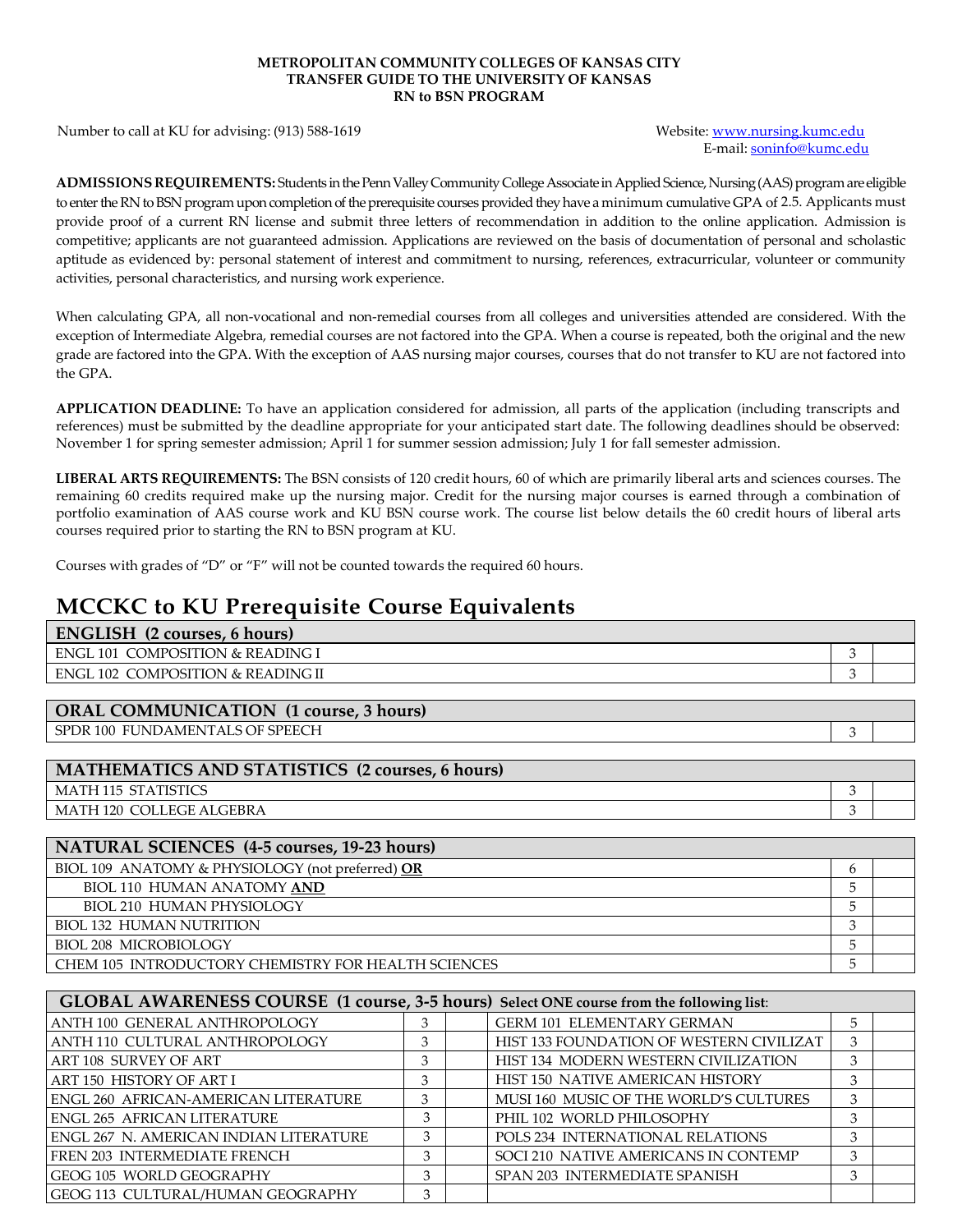## **METROPOLITAN COMMUNITY COLLEGES OF KANSAS CITY TRANSFER GUIDE TO THE UNIVERSITY OF KANSAS RN to BSN PROGRAM**

Number to call at KU for advising: (913) 588-1619 Website: [www.nursing.kumc.edu](http://www.nursing.kumc.edu/)

E-mail: [soninfo@kumc.edu](mailto:soninfo@kumc.edu)

3

ADMISSIONS REQUIREMENTS: Students in the Penn Valley Community College Associate in Applied Science, Nursing (AAS) program are eligible to enter the RN to BSN program upon completion of the prerequisite courses provided they have a minimum cumulative GPA of 2.5. Applicants must provide proof of a current RN license and submit three letters of recommendation in addition to the online application. Admission is competitive; applicants are not guaranteed admission. Applications are reviewed on the basis of documentation of personal and scholastic aptitude as evidenced by: personal statement of interest and commitment to nursing, references, extracurricular, volunteer or community activities, personal characteristics, and nursing work experience.

When calculating GPA, all non-vocational and non-remedial courses from all colleges and universities attended are considered. With the exception of Intermediate Algebra, remedial courses are not factored into the GPA. When a course is repeated, both the original and the new grade are factored into the GPA. With the exception of AAS nursing major courses, courses that do not transfer to KU are not factored into the GPA.

**APPLICATION DEADLINE:** To have an application considered for admission, all parts of the application (including transcripts and references) must be submitted by the deadline appropriate for your anticipated start date. The following deadlines should be observed: November 1 for spring semester admission; April 1 for summer session admission; July 1 for fall semester admission.

**LIBERAL ARTS REQUIREMENTS:** The BSN consists of 120 credit hours, 60 of which are primarily liberal arts and sciences courses. The remaining 60 credits required make up the nursing major. Credit for the nursing major courses is earned through a combination of portfolio examination of AAS course work and KU BSN course work. The course list below details the 60 credit hours of liberal arts courses required prior to starting the RN to BSN program at KU.

Courses with grades of "D" or "F" will not be counted towards the required 60 hours.

## **MCCKC to KU Prerequisite Course Equivalents**

| <b>ENGLISH</b> (2 courses, 6 hours) |  |  |  |  |  |  |
|-------------------------------------|--|--|--|--|--|--|
|                                     |  |  |  |  |  |  |
|                                     |  |  |  |  |  |  |
|                                     |  |  |  |  |  |  |

| <b>ORAL COMMUNICATION (1 course, 3 hours)</b> |
|-----------------------------------------------|
| SPDR 100 FUNDAMENTALS OF SPEECH               |

| MATHEMATICS AND STATISTICS (2 courses, 6 hours) |  |  |  |  |
|-------------------------------------------------|--|--|--|--|
| MATH 115 STATISTICS                             |  |  |  |  |
| MATH 120 COLLEGE ALGEBRA                        |  |  |  |  |

| NATURAL SCIENCES (4-5 courses, 19-23 hours)         |   |  |  |  |  |
|-----------------------------------------------------|---|--|--|--|--|
| BIOL 109 ANATOMY & PHYSIOLOGY (not preferred) OR    | h |  |  |  |  |
| <b>BIOL 110 HUMAN ANATOMY AND</b>                   |   |  |  |  |  |
| <b>BIOL 210 HUMAN PHYSIOLOGY</b>                    |   |  |  |  |  |
| <b>BIOL 132 HUMAN NUTRITION</b>                     |   |  |  |  |  |
| <b>BIOL 208 MICROBIOLOGY</b>                        |   |  |  |  |  |
| CHEM 105 INTRODUCTORY CHEMISTRY FOR HEALTH SCIENCES |   |  |  |  |  |

| GLOBAL AWARENESS COURSE (1 course, 3-5 hours) Select ONE course from the following list: |   |  |                                          |   |  |  |  |
|------------------------------------------------------------------------------------------|---|--|------------------------------------------|---|--|--|--|
| ANTH 100 GENERAL ANTHROPOLOGY                                                            | 3 |  | GERM 101 ELEMENTARY GERMAN               | 5 |  |  |  |
| ANTH 110 CULTURAL ANTHROPOLOGY                                                           | 3 |  | HIST 133 FOUNDATION OF WESTERN CIVILIZAT | 3 |  |  |  |
| ART 108 SURVEY OF ART                                                                    |   |  | HIST 134 MODERN WESTERN CIVILIZATION     | 3 |  |  |  |
| ART 150 HISTORY OF ART I                                                                 | 3 |  | HIST 150 NATIVE AMERICAN HISTORY         | 3 |  |  |  |
| <b>ENGL 260 AFRICAN-AMERICAN LITERATURE</b>                                              | 3 |  | MUSI 160 MUSIC OF THE WORLD'S CULTURES   | 3 |  |  |  |
| <b>ENGL 265 AFRICAN LITERATURE</b>                                                       |   |  | PHIL 102 WORLD PHILOSOPHY                | 3 |  |  |  |
| ENGL 267 N. AMERICAN INDIAN LITERATURE                                                   | 3 |  | POLS 234 INTERNATIONAL RELATIONS         | 3 |  |  |  |
| FREN 203 INTERMEDIATE FRENCH                                                             | 3 |  | SOCI 210 NATIVE AMERICANS IN CONTEMP     | 3 |  |  |  |
| GEOG 105 WORLD GEOGRAPHY                                                                 | 3 |  | SPAN 203 INTERMEDIATE SPANISH            | 3 |  |  |  |
| GEOG 113 CULTURAL/HUMAN GEOGRAPHY                                                        | 3 |  |                                          |   |  |  |  |